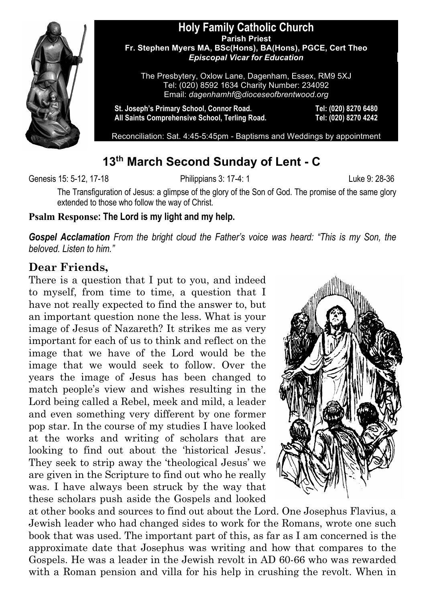

#### **Holy Family Catholic Church Parish Priest Fr. Stephen Myers MA, BSc(Hons), BA(Hons), PGCE, Cert Theo** *Episcopal Vicar for Education*

The Presbytery, Oxlow Lane, Dagenham, Essex, RM9 5XJ Tel: (020) 8592 1634 Charity Number: 234092 Email: *dagenhamhf@dioceseofbrentwood.org*

**St. Joseph's Primary School, Connor Road. Tel: (020) 8270 6480 All Saints Comprehensive School, Terling Road. Tel: (020) 8270 4242**

Reconciliation: Sat. 4:45-5:45pm - Baptisms and Weddings by appointment

# **13th March Second Sunday of Lent - C**

Genesis 15: 5-12, 17-18 Philippians 3: 17-4: 1 Luke 9: 28-36

The Transfiguration of Jesus: a glimpse of the glory of the Son of God. The promise of the same glory extended to those who follow the way of Christ.

#### **Psalm Response: The Lord is my light and my help.**

*Gospel Acclamation From the bright cloud the Father's voice was heard: "This is my Son, the beloved. Listen to him."*

### **Dear Friends,**

There is a question that I put to you, and indeed to myself, from time to time, a question that I have not really expected to find the answer to, but an important question none the less. What is your image of Jesus of Nazareth? It strikes me as very important for each of us to think and reflect on the image that we have of the Lord would be the image that we would seek to follow. Over the years the image of Jesus has been changed to match people's view and wishes resulting in the Lord being called a Rebel, meek and mild, a leader and even something very different by one former pop star. In the course of my studies I have looked at the works and writing of scholars that are looking to find out about the 'historical Jesus'. They seek to strip away the 'theological Jesus' we are given in the Scripture to find out who he really was. I have always been struck by the way that these scholars push aside the Gospels and looked



at other books and sources to find out about the Lord. One Josephus Flavius, a Jewish leader who had changed sides to work for the Romans, wrote one such book that was used. The important part of this, as far as I am concerned is the approximate date that Josephus was writing and how that compares to the Gospels. He was a leader in the Jewish revolt in AD 60-66 who was rewarded with a Roman pension and villa for his help in crushing the revolt. When in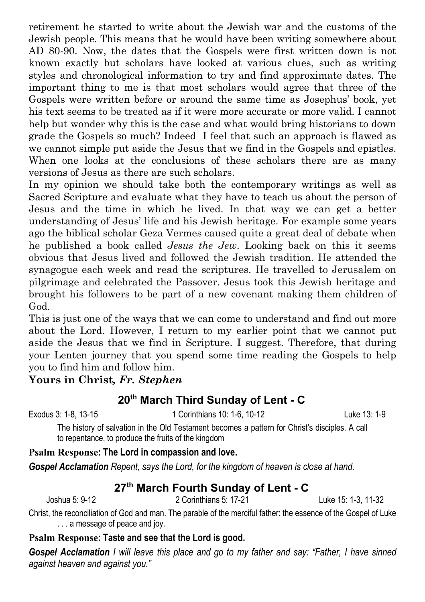retirement he started to write about the Jewish war and the customs of the Jewish people. This means that he would have been writing somewhere about AD 80-90. Now, the dates that the Gospels were first written down is not known exactly but scholars have looked at various clues, such as writing styles and chronological information to try and find approximate dates. The important thing to me is that most scholars would agree that three of the Gospels were written before or around the same time as Josephus' book, yet his text seems to be treated as if it were more accurate or more valid. I cannot help but wonder why this is the case and what would bring historians to down grade the Gospels so much? Indeed I feel that such an approach is flawed as we cannot simple put aside the Jesus that we find in the Gospels and epistles. When one looks at the conclusions of these scholars there are as many versions of Jesus as there are such scholars.

In my opinion we should take both the contemporary writings as well as Sacred Scripture and evaluate what they have to teach us about the person of Jesus and the time in which he lived. In that way we can get a better understanding of Jesus' life and his Jewish heritage. For example some years ago the biblical scholar Geza Vermes caused quite a great deal of debate when he published a book called *Jesus the Jew*. Looking back on this it seems obvious that Jesus lived and followed the Jewish tradition. He attended the synagogue each week and read the scriptures. He travelled to Jerusalem on pilgrimage and celebrated the Passover. Jesus took this Jewish heritage and brought his followers to be part of a new covenant making them children of God.

This is just one of the ways that we can come to understand and find out more about the Lord. However, I return to my earlier point that we cannot put aside the Jesus that we find in Scripture. I suggest. Therefore, that during your Lenten journey that you spend some time reading the Gospels to help you to find him and follow him.

#### **Yours in Christ***, Fr. Stephen*

### **20th March Third Sunday of Lent - C**

Exodus 3: 1-8, 13-15 1 Corinthians 10: 1-6, 10-12 Luke 13: 1-9

The history of salvation in the Old Testament becomes a pattern for Christ's disciples. A call to repentance, to produce the fruits of the kingdom

#### **Psalm Response: The Lord in compassion and love.**

*Gospel Acclamation Repent, says the Lord, for the kingdom of heaven is close at hand.*

### **27th March Fourth Sunday of Lent - C**

Joshua 5: 9-12 2 Corinthians 5: 17-21 Luke 15: 1-3, 11-32

Christ, the reconciliation of God and man. The parable of the merciful father: the essence of the Gospel of Luke . . . a message of peace and joy.

#### **Psalm Response: Taste and see that the Lord is good.**

*Gospel Acclamation I will leave this place and go to my father and say: "Father, I have sinned against heaven and against you."*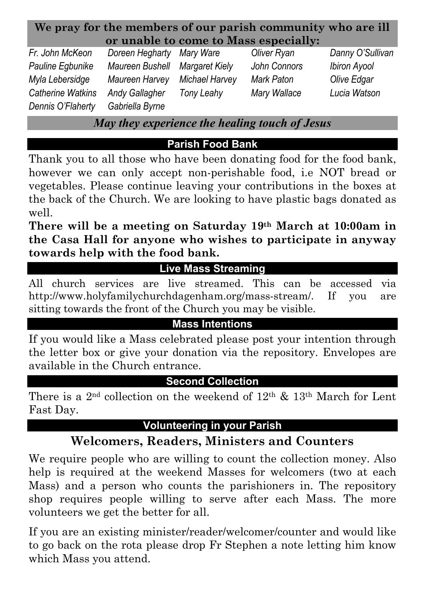| We pray for the members of our parish community who are ill |  |  |
|-------------------------------------------------------------|--|--|
| or unable to come to Mass especially:                       |  |  |

*Fr. John McKeon Doreen Hegharty Mary Ware Oliver Ryan Danny O'Sullivan Pauline Egbunike Maureen Bushell Margaret Kiely John Connors Ibiron Ayool Myla Lebersidge Maureen Harvey Michael Harvey Mark Paton Olive Edgar Catherine Watkins Andy Gallagher Tony Leahy Mary Wallace Lucia Watson Dennis O'Flaherty Gabriella Byrne*

*May they experience the healing touch of Jesus*

**Parish Food Bank**

Thank you to all those who have been donating food for the food bank, however we can only accept non-perishable food, i.e NOT bread or vegetables. Please continue leaving your contributions in the boxes at the back of the Church. We are looking to have plastic bags donated as well.

**There will be a meeting on Saturday 19th March at 10:00am in the Casa Hall for anyone who wishes to participate in anyway towards help with the food bank.**

# **Live Mass Streaming**

All church services are live streamed. This can be accessed via http://www.holyfamilychurchdagenham.org/mass-stream/. If you are sitting towards the front of the Church you may be visible.

### **Mass Intentions**

If you would like a Mass celebrated please post your intention through the letter box or give your donation via the repository. Envelopes are available in the Church entrance.

### **Second Collection**

There is a 2<sup>nd</sup> collection on the weekend of  $12<sup>th</sup>$  &  $13<sup>th</sup>$  March for Lent Fast Day.

# **Volunteering in your Parish**

# **Welcomers, Readers, Ministers and Counters**

We require people who are willing to count the collection money. Also help is required at the weekend Masses for welcomers (two at each Mass) and a person who counts the parishioners in. The repository shop requires people willing to serve after each Mass. The more volunteers we get the better for all.

If you are an existing minister/reader/welcomer/counter and would like to go back on the rota please drop Fr Stephen a note letting him know which Mass you attend.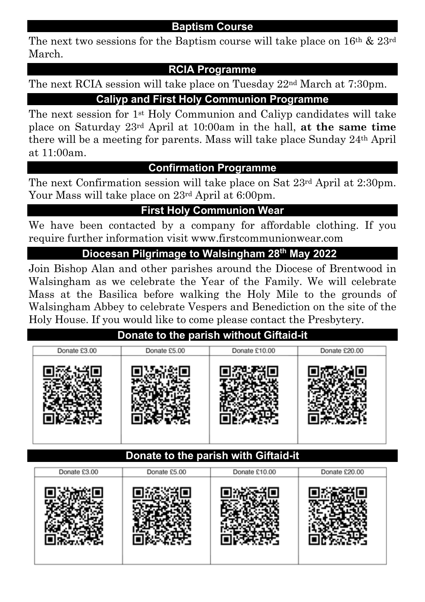#### **Baptism Course**

The next two sessions for the Baptism course will take place on  $16<sup>th</sup>$  &  $23<sup>rd</sup>$ March.

### **RCIA Programme**

The next RCIA session will take place on Tuesday 22nd March at 7:30pm.

### **Caliyp and First Holy Communion Programme**

The next session for 1st Holy Communion and Caliyp candidates will take place on Saturday 23rd April at 10:00am in the hall, **at the same time** there will be a meeting for parents. Mass will take place Sunday 24th April at 11:00am.

### **Confirmation Programme**

The next Confirmation session will take place on Sat 23rd April at 2:30pm. Your Mass will take place on 23rd April at 6:00pm.

## **First Holy Communion Wear**

We have been contacted by a company for affordable clothing. If you require further information visit www.firstcommunionwear.com

### **Diocesan Pilgrimage to Walsingham 28th May 2022:**

Join Bishop Alan and other parishes around the Diocese of Brentwood in Walsingham as we celebrate the Year of the Family. We will celebrate Mass at the Basilica before walking the Holy Mile to the grounds of Walsingham Abbey to celebrate Vespers and Benediction on the site of the Holy House. If you would like to come please contact the Presbytery.

## **Donate to the parish without Giftaid-it**

### **Donate to the parish with Giftaid-it**

| Donate £3.00 | Donate £5.00 | Donate £10.00 | Donate £20.00 |
|--------------|--------------|---------------|---------------|
|              |              |               |               |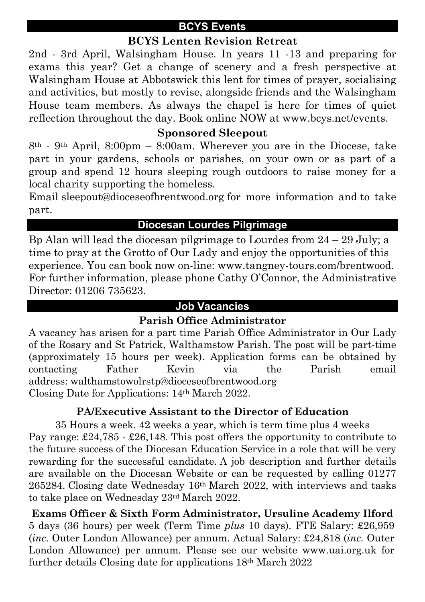### **BCYS Events**

### **BCYS Lenten Revision Retreat**

2nd - 3rd April, Walsingham House. In years 11 -13 and preparing for exams this year? Get a change of scenery and a fresh perspective at Walsingham House at Abbotswick this lent for times of prayer, socialising and activities, but mostly to revise, alongside friends and the Walsingham House team members. As always the chapel is here for times of quiet reflection throughout the day. Book online NOW at www.bcys.net/events.

### **Sponsored Sleepout**

8th - 9th April, 8:00pm – 8:00am. Wherever you are in the Diocese, take part in your gardens, schools or parishes, on your own or as part of a group and spend 12 hours sleeping rough outdoors to raise money for a local charity supporting the homeless.

Email sleepout@dioceseofbrentwood.org for more information and to take part.

### **Diocesan Lourdes Pilgrimage**

Bp Alan will lead the diocesan pilgrimage to Lourdes from  $24 - 29$  July; a time to pray at the Grotto of Our Lady and enjoy the opportunities of this experience. You can book now on-line: www.tangney-tours.com/brentwood. For further information, please phone Cathy O'Connor, the Administrative Director: 01206 735623.

#### **Job Vacancies**

### **Parish Office Administrator**

A vacancy has arisen for a part time Parish Office Administrator in Our Lady of the Rosary and St Patrick, Walthamstow Parish. The post will be part-time (approximately 15 hours per week). Application forms can be obtained by contacting Father Kevin via the Parish email address: walthamstowolrstp@dioceseofbrentwood.org Closing Date for Applications: 14th March 2022.

### **PA/Executive Assistant to the Director of Education**

35 Hours a week. 42 weeks a year, which is term time plus 4 weeks Pay range: £24,785 - £26,148. This post offers the opportunity to contribute to the future success of the Diocesan Education Service in a role that will be very rewarding for the successful candidate. A job description and further details are available on the Diocesan Website or can be requested by calling 01277 265284. Closing date Wednesday 16th March 2022, with interviews and tasks to take place on Wednesday 23rd March 2022.

**Exams Officer & Sixth Form Administrator, Ursuline Academy Ilford** 5 days (36 hours) per week (Term Time *plus* 10 days). FTE Salary: £26,959 (*inc.* Outer London Allowance) per annum. Actual Salary: £24,818 (*inc.* Outer London Allowance) per annum. Please see our website www.uai.org.uk for further details Closing date for applications 18th March 2022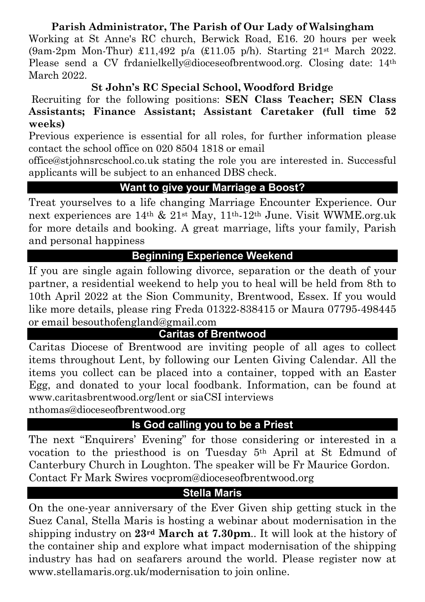### **Parish Administrator, The Parish of Our Lady of Walsingham**

Working at St Anne's RC church, Berwick Road, E16. 20 hours per week (9am-2pm Mon-Thur) £11,492 p/a (£11.05 p/h). Starting 21st March 2022. Please send a CV frdanielkelly@dioceseofbrentwood.org. Closing date: 14<sup>th</sup> March 2022.

### **St John's RC Special School, Woodford Bridge**

Recruiting for the following positions: **SEN Class Teacher; SEN Class Assistants; Finance Assistant; Assistant Caretaker (full time 52 weeks)**

Previous experience is essential for all roles, for further information please contact the school office on 020 8504 1818 or email

office@stjohnsrcschool.co.uk stating the role you are interested in. Successful applicants will be subject to an enhanced DBS check.

### **Want to give your Marriage a Boost?**

Treat yourselves to a life changing Marriage Encounter Experience. Our next experiences are 14th & 21st May, 11th-12th June. Visit WWME.org.uk for more details and booking. A great marriage, lifts your family, Parish and personal happiness

## **Beginning Experience Weekend**

If you are single again following divorce, separation or the death of your partner, a residential weekend to help you to heal will be held from 8th to 10th April 2022 at the Sion Community, Brentwood, Essex. If you would like more details, please ring Freda 01322-838415 or Maura 07795-498445 or email besouthofengland@gmail.com

### **Caritas of Brentwood**

Caritas Diocese of Brentwood are inviting people of all ages to collect items throughout Lent, by following our Lenten Giving Calendar. All the items you collect can be placed into a container, topped with an Easter Egg, and donated to your local foodbank. Information, can be found at www.caritasbrentwood.org/lent or siaCSI interviews

nthomas@dioceseofbrentwood.org

### **Is God calling you to be a Priest**

The next "Enquirers' Evening" for those considering or interested in a vocation to the priesthood is on Tuesday 5th April at St Edmund of Canterbury Church in Loughton. The speaker will be Fr Maurice Gordon. Contact Fr Mark Swires vocprom@dioceseofbrentwood.org

### **Stella Maris**

On the one-year anniversary of the Ever Given ship getting stuck in the Suez Canal, Stella Maris is hosting a webinar about modernisation in the shipping industry on **23rd March at 7.30pm**.. It will look at the history of the container ship and explore what impact modernisation of the shipping industry has had on seafarers around the world. Please register now at www.stellamaris.org.uk/modernisation to join online.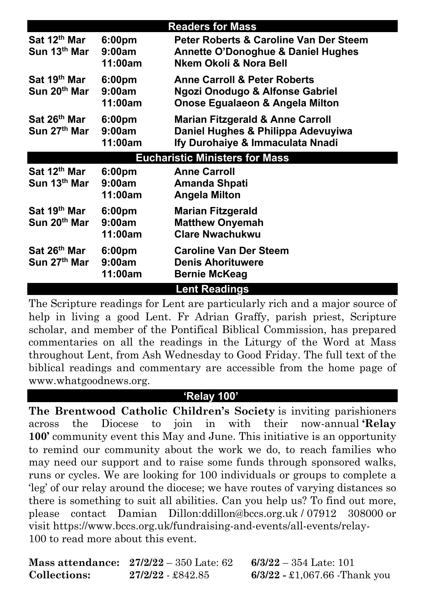|                                                      |                                         | <b>Readers for Mass</b>                                                                                                      |  |  |
|------------------------------------------------------|-----------------------------------------|------------------------------------------------------------------------------------------------------------------------------|--|--|
| Sat 12 <sup>th</sup> Mar<br>Sun 13 <sup>th</sup> Mar | 6:00 <sub>pm</sub><br>9:00am<br>11:00am | <b>Peter Roberts &amp; Caroline Van Der Steem</b><br><b>Annette O'Donoghue &amp; Daniel Hughes</b><br>Nkem Okoli & Nora Bell |  |  |
| Sat 19 <sup>th</sup> Mar<br>Sun 20 <sup>th</sup> Mar | 6:00 <sub>pm</sub><br>9:00am<br>11:00am | <b>Anne Carroll &amp; Peter Roberts</b><br><b>Ngozi Onodugo &amp; Alfonse Gabriel</b><br>Onose Egualaeon & Angela Milton     |  |  |
| Sat 26th Mar<br>Sun 27 <sup>th</sup> Mar             | 6:00 <sub>pm</sub><br>9:00am<br>11:00am | <b>Marian Fitzgerald &amp; Anne Carroll</b><br>Daniel Hughes & Philippa Adevuyiwa<br>Ify Durohaiye & Immaculata Nnadi        |  |  |
| <b>Eucharistic Ministers for Mass</b>                |                                         |                                                                                                                              |  |  |
| Sat 12 <sup>th</sup> Mar<br>Sun 13th Mar             | 6:00 <sub>pm</sub><br>9:00am<br>11:00am | <b>Anne Carroll</b><br>Amanda Shpati<br>Angela Milton                                                                        |  |  |
| Sat 19 <sup>th</sup> Mar<br>Sun 20 <sup>th</sup> Mar | 6:00 <sub>pm</sub><br>9:00am<br>11:00am | <b>Marian Fitzgerald</b><br><b>Matthew Onyemah</b><br><b>Clare Nwachukwu</b>                                                 |  |  |
| Sat 26th Mar<br>Sun 27 <sup>th</sup> Mar             | 6:00 <sub>pm</sub><br>9:00am<br>11:00am | <b>Caroline Van Der Steem</b><br><b>Denis Ahorituwere</b><br><b>Bernie McKeag</b>                                            |  |  |
|                                                      |                                         | <b>Lent Readings</b>                                                                                                         |  |  |

The Scripture readings for Lent are particularly rich and a major source of help in living a good Lent. Fr Adrian Graffy, parish priest, Scripture scholar, and member of the Pontifical Biblical Commission, has prepared commentaries on all the readings in the Liturgy of the Word at Mass throughout Lent, from Ash Wednesday to Good Friday. The full text of the biblical readings and commentary are accessible from the home page of www.whatgoodnews.org.

#### **'Relay 100'**

**The Brentwood Catholic Children's Society** is inviting parishioners across the Diocese to join in with their now-annual **'Relay 100'** community event this May and June. This initiative is an opportunity to remind our community about the work we do, to reach families who may need our support and to raise some funds through sponsored walks, runs or cycles. We are looking for 100 individuals or groups to complete a 'leg' of our relay around the diocese; we have routes of varying distances so there is something to suit all abilities. Can you help us? To find out more, please contact Damian Dillon:ddillon@bccs.org.uk / 07912 308000 or visit https://www.bccs.org.uk/fundraising-and-events/all-events/relay-100 to read more about this event.

|              | Mass attendance: $27/2/22 - 350$ Late: 62 | $6/3/22 - 354$ Late: 101              |
|--------------|-------------------------------------------|---------------------------------------|
| Collections: | 27/2/22 \$842.85                          | $6/3/22 - \pounds1,067.66$ -Thank you |